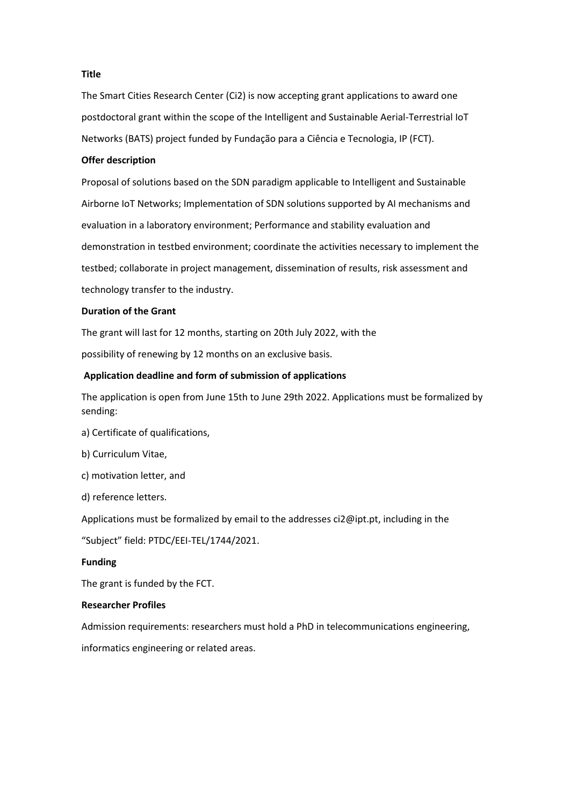## **Title**

The Smart Cities Research Center (Ci2) is now accepting grant applications to award one postdoctoral grant within the scope of the Intelligent and Sustainable Aerial-Terrestrial IoT Networks (BATS) project funded by Fundação para a Ciência e Tecnologia, IP (FCT).

## **Offer description**

Proposal of solutions based on the SDN paradigm applicable to Intelligent and Sustainable Airborne IoT Networks; Implementation of SDN solutions supported by AI mechanisms and evaluation in a laboratory environment; Performance and stability evaluation and demonstration in testbed environment; coordinate the activities necessary to implement the testbed; collaborate in project management, dissemination of results, risk assessment and technology transfer to the industry.

## **Duration of the Grant**

The grant will last for 12 months, starting on 20th July 2022, with the

possibility of renewing by 12 months on an exclusive basis.

## **Application deadline and form of submission of applications**

The application is open from June 15th to June 29th 2022. Applications must be formalized by sending:

- a) Certificate of qualifications,
- b) Curriculum Vitae,
- c) motivation letter, and
- d) reference letters.

Applications must be formalized by email to the addresses ci2@ipt.pt, including in the

"Subject" field: PTDC/EEI-TEL/1744/2021.

## **Funding**

The grant is funded by the FCT.

# **Researcher Profiles**

Admission requirements: researchers must hold a PhD in telecommunications engineering,

informatics engineering or related areas.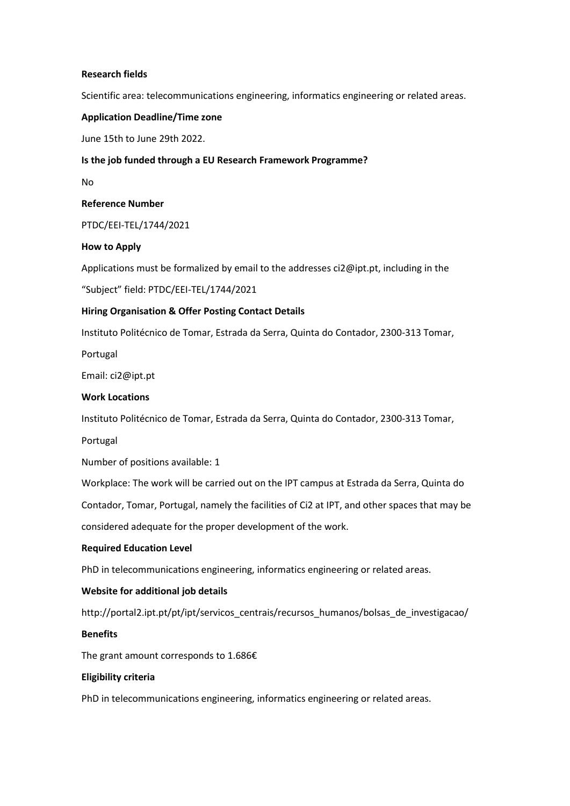## **Research fields**

Scientific area: telecommunications engineering, informatics engineering or related areas.

## **Application Deadline/Time zone**

June 15th to June 29th 2022.

## **Is the job funded through a EU Research Framework Programme?**

No

## **Reference Number**

PTDC/EEI-TEL/1744/2021

## **How to Apply**

Applications must be formalized by email to the addresses ci2@ipt.pt, including in the

"Subject" field: PTDC/EEI-TEL/1744/2021

## **Hiring Organisation & Offer Posting Contact Details**

Instituto Politécnico de Tomar, Estrada da Serra, Quinta do Contador, 2300-313 Tomar,

Portugal

Email: ci2@ipt.pt

## **Work Locations**

Instituto Politécnico de Tomar, Estrada da Serra, Quinta do Contador, 2300-313 Tomar,

Portugal

Number of positions available: 1

Workplace: The work will be carried out on the IPT campus at Estrada da Serra, Quinta do

Contador, Tomar, Portugal, namely the facilities of Ci2 at IPT, and other spaces that may be

considered adequate for the proper development of the work.

## **Required Education Level**

PhD in telecommunications engineering, informatics engineering or related areas.

## **Website for additional job details**

http://portal2.ipt.pt/pt/ipt/servicos\_centrais/recursos\_humanos/bolsas\_de\_investigacao/

## **Benefits**

The grant amount corresponds to 1.686€

## **Eligibility criteria**

PhD in telecommunications engineering, informatics engineering or related areas.